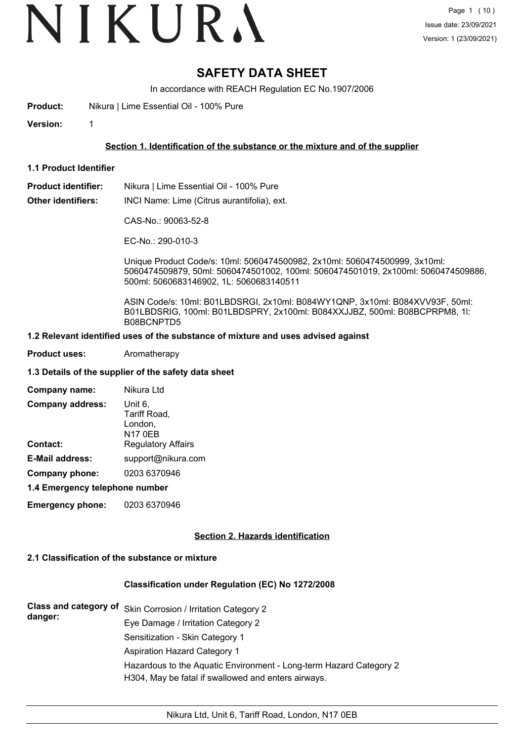# VIKURA

# **SAFETY DATA SHEET**

In accordance with REACH Regulation EC No.1907/2006

**Product:** Nikura | Lime Essential Oil - 100% Pure

**Version:** 1

# **Section 1. Identification of the substance or the mixture and of the supplier**

- **1.1 Product Identifier**
- **Product identifier:** Nikura | Lime Essential Oil 100% Pure

**Other identifiers:** INCI Name: Lime (Citrus aurantifolia), ext.

CAS-No.: 90063-52-8

EC-No.: 290-010-3

Unique Product Code/s: 10ml: 5060474500982, 2x10ml: 5060474500999, 3x10ml: 5060474509879, 50ml: 5060474501002, 100ml: 5060474501019, 2x100ml: 5060474509886, 500ml: 5060683146902, 1L: 5060683140511

ASIN Code/s: 10ml: B01LBDSRGI, 2x10ml: B084WY1QNP, 3x10ml: B084XVV93F, 50ml: B01LBDSRIG, 100ml: B01LBDSPRY, 2x100ml: B084XXJJBZ, 500ml: B08BCPRPM8, 1l: B08BCNPTD5

#### **1.2 Relevant identified uses of the substance of mixture and uses advised against**

**Product uses:** Aromatherapy

#### **1.3 Details of the supplier of the safety data sheet**

| Company name:                  | Nikura Ltd                                           |
|--------------------------------|------------------------------------------------------|
| <b>Company address:</b>        | Unit 6.<br>Tariff Road,<br>London,<br><b>N17 0EB</b> |
| <b>Contact:</b>                | <b>Regulatory Affairs</b>                            |
| <b>E-Mail address:</b>         | support@nikura.com                                   |
| Company phone:                 | 0203 6370946                                         |
| 4.4 Emarganau talanhana numbar |                                                      |

#### **1.4 Emergency telephone number**

**Emergency phone:** 0203 6370946

## **Section 2. Hazards identification**

# **2.1 Classification of the substance or mixture**

# **Classification under Regulation (EC) No 1272/2008**

| danger: | Class and category of Skin Corrosion / Irritation Category 2                                                              |
|---------|---------------------------------------------------------------------------------------------------------------------------|
|         | Eye Damage / Irritation Category 2                                                                                        |
|         | Sensitization - Skin Category 1                                                                                           |
|         | Aspiration Hazard Category 1                                                                                              |
|         | Hazardous to the Aquatic Environment - Long-term Hazard Category 2<br>H304, May be fatal if swallowed and enters airways. |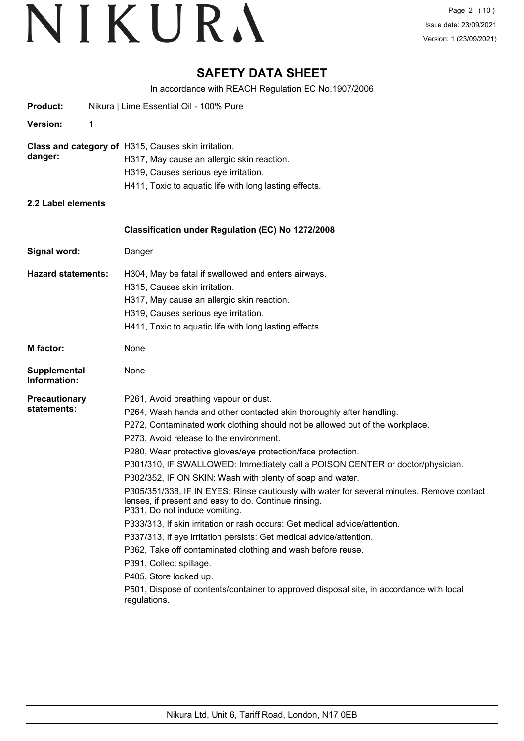# **SAFETY DATA SHEET**

In accordance with REACH Regulation EC No.1907/2006

| <b>Product:</b>                                                |   | Nikura   Lime Essential Oil - 100% Pure                                                                                                                                                                                                                                                                                                                                                                                                                                                                                                                                                                                                                                                                                                                                                                                                                                                                                                                                                                                          |  |  |  |  |
|----------------------------------------------------------------|---|----------------------------------------------------------------------------------------------------------------------------------------------------------------------------------------------------------------------------------------------------------------------------------------------------------------------------------------------------------------------------------------------------------------------------------------------------------------------------------------------------------------------------------------------------------------------------------------------------------------------------------------------------------------------------------------------------------------------------------------------------------------------------------------------------------------------------------------------------------------------------------------------------------------------------------------------------------------------------------------------------------------------------------|--|--|--|--|
| <b>Version:</b>                                                | 1 |                                                                                                                                                                                                                                                                                                                                                                                                                                                                                                                                                                                                                                                                                                                                                                                                                                                                                                                                                                                                                                  |  |  |  |  |
| Class and category of H315, Causes skin irritation.<br>danger: |   | H317, May cause an allergic skin reaction.<br>H319, Causes serious eye irritation.<br>H411, Toxic to aquatic life with long lasting effects.                                                                                                                                                                                                                                                                                                                                                                                                                                                                                                                                                                                                                                                                                                                                                                                                                                                                                     |  |  |  |  |
| 2.2 Label elements                                             |   |                                                                                                                                                                                                                                                                                                                                                                                                                                                                                                                                                                                                                                                                                                                                                                                                                                                                                                                                                                                                                                  |  |  |  |  |
|                                                                |   | Classification under Regulation (EC) No 1272/2008                                                                                                                                                                                                                                                                                                                                                                                                                                                                                                                                                                                                                                                                                                                                                                                                                                                                                                                                                                                |  |  |  |  |
| Signal word:<br>Danger                                         |   |                                                                                                                                                                                                                                                                                                                                                                                                                                                                                                                                                                                                                                                                                                                                                                                                                                                                                                                                                                                                                                  |  |  |  |  |
| <b>Hazard statements:</b>                                      |   | H304, May be fatal if swallowed and enters airways.<br>H315, Causes skin irritation.<br>H317, May cause an allergic skin reaction.<br>H319, Causes serious eye irritation.<br>H411, Toxic to aquatic life with long lasting effects.                                                                                                                                                                                                                                                                                                                                                                                                                                                                                                                                                                                                                                                                                                                                                                                             |  |  |  |  |
| <b>M</b> factor:<br>None                                       |   |                                                                                                                                                                                                                                                                                                                                                                                                                                                                                                                                                                                                                                                                                                                                                                                                                                                                                                                                                                                                                                  |  |  |  |  |
| Supplemental<br>Information:                                   |   | None                                                                                                                                                                                                                                                                                                                                                                                                                                                                                                                                                                                                                                                                                                                                                                                                                                                                                                                                                                                                                             |  |  |  |  |
| <b>Precautionary</b><br>statements:                            |   | P261, Avoid breathing vapour or dust.<br>P264, Wash hands and other contacted skin thoroughly after handling.<br>P272, Contaminated work clothing should not be allowed out of the workplace.<br>P273, Avoid release to the environment.<br>P280, Wear protective gloves/eye protection/face protection.<br>P301/310, IF SWALLOWED: Immediately call a POISON CENTER or doctor/physician.<br>P302/352, IF ON SKIN: Wash with plenty of soap and water.<br>P305/351/338, IF IN EYES: Rinse cautiously with water for several minutes. Remove contact<br>lenses, if present and easy to do. Continue rinsing.<br>P331, Do not induce vomiting.<br>P333/313, If skin irritation or rash occurs: Get medical advice/attention.<br>P337/313, If eye irritation persists: Get medical advice/attention.<br>P362, Take off contaminated clothing and wash before reuse.<br>P391, Collect spillage.<br>P405, Store locked up.<br>P501, Dispose of contents/container to approved disposal site, in accordance with local<br>regulations. |  |  |  |  |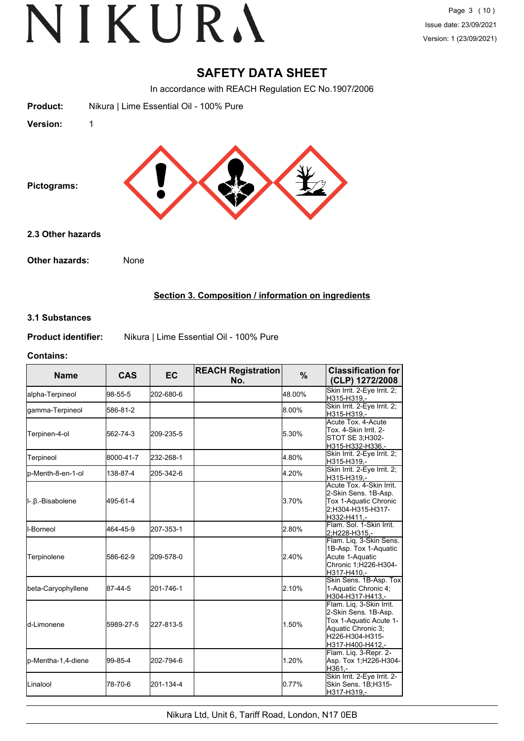# **SAFETY DATA SHEET**

In accordance with REACH Regulation EC No.1907/2006

| <b>Product:</b>   | Nikura   Lime Essential Oil - 100% Pure |
|-------------------|-----------------------------------------|
| Version:          | 1                                       |
| Pictograms:       |                                         |
| 2.3 Other hazards |                                         |
| Other hazards:    | None                                    |

# **Section 3. Composition / information on ingredients**

## **3.1 Substances**

**Product identifier:** Nikura | Lime Essential Oil - 100% Pure

#### **Contains:**

| <b>Name</b>        | <b>CAS</b> | <b>EC</b> | <b>REACH Registration</b><br>No. | $\frac{9}{6}$ | <b>Classification for</b><br>(CLP) 1272/2008                                                                                            |
|--------------------|------------|-----------|----------------------------------|---------------|-----------------------------------------------------------------------------------------------------------------------------------------|
| alpha-Terpineol    | 98-55-5    | 202-680-6 |                                  | 48.00%        | Skin Irrit. 2-Eye Irrit. 2;<br>H315-H319,-                                                                                              |
| gamma-Terpineol    | 586-81-2   |           |                                  | 8.00%         | Skin Irrit. 2-Eye Irrit. 2;<br>H315-H319.-                                                                                              |
| Terpinen-4-ol      | 562-74-3   | 209-235-5 |                                  | 5.30%         | Acute Tox. 4-Acute<br>Tox. 4-Skin Irrit. 2-<br>STOT SE 3;H302-<br>H315-H332-H336,-                                                      |
| Terpineol          | 8000-41-7  | 232-268-1 |                                  | 4.80%         | Skin Irrit. 2-Eye Irrit. 2;<br>H315-H319,-                                                                                              |
| p-Menth-8-en-1-ol  | 138-87-4   | 205-342-6 |                                  | 4.20%         | Skin Irrit. 2-Eye Irrit. 2;<br>H315-H319.-                                                                                              |
| II-.β.-Bisabolene  | 495-61-4   |           |                                  | 3.70%         | Acute Tox, 4-Skin Irrit.<br>2-Skin Sens. 1B-Asp.<br>Tox 1-Aquatic Chronic<br>2:H304-H315-H317-<br>H332-H411.-                           |
| <b>I</b> I-Borneol | 464-45-9   | 207-353-1 |                                  | 2.80%         | Flam, Sol. 1-Skin Irrit.<br>2;H228-H315,-                                                                                               |
| Terpinolene        | 586-62-9   | 209-578-0 |                                  | 2.40%         | Flam. Liq. 3-Skin Sens.<br>1B-Asp. Tox 1-Aquatic<br>Acute 1-Aquatic<br>Chronic 1;H226-H304-<br>H317-H410,-                              |
| beta-Caryophyllene | 87-44-5    | 201-746-1 |                                  | 2.10%         | Skin Sens. 1B-Asp. Tox<br>1-Aquatic Chronic 4:<br>H304-H317-H413,-                                                                      |
| ld-Limonene        | 5989-27-5  | 227-813-5 |                                  | 1.50%         | Flam. Liq. 3-Skin Irrit.<br>2-Skin Sens. 1B-Asp.<br>Tox 1-Aquatic Acute 1-<br>Aquatic Chronic 3:<br>H226-H304-H315-<br>H317-H400-H412,- |
| p-Mentha-1,4-diene | 99-85-4    | 202-794-6 |                                  | 1.20%         | Flam. Lig. 3-Repr. 2-<br>Asp. Tox 1;H226-H304-<br>H361.-                                                                                |
| <b>Linalool</b>    | 78-70-6    | 201-134-4 |                                  | 0.77%         | Skin Irrit. 2-Eye Irrit. 2-<br>Skin Sens. 1B;H315-<br>H317-H319,-                                                                       |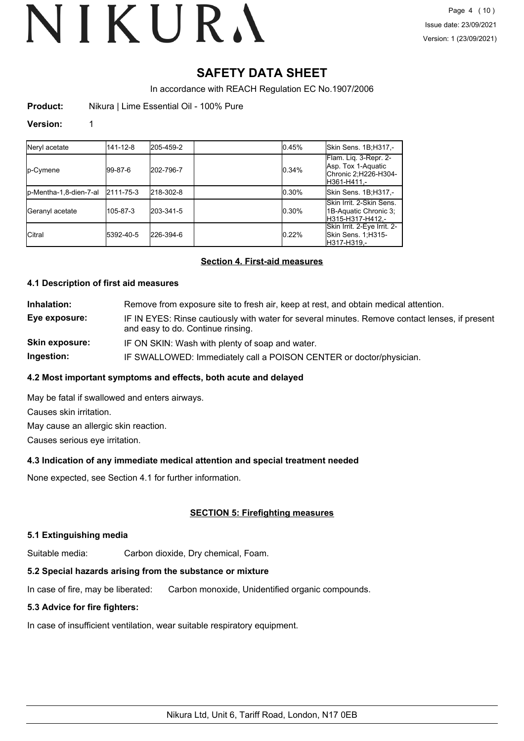# **SAFETY DATA SHEET**

In accordance with REACH Regulation EC No.1907/2006

**Product:** Nikura | Lime Essential Oil - 100% Pure

#### **Version:** 1

| Neryl acetate          | 141-12-8  | 205-459-2 | 0.45% | Skin Sens. 1B;H317,-                                                                |
|------------------------|-----------|-----------|-------|-------------------------------------------------------------------------------------|
| p-Cymene               | 99-87-6   | 202-796-7 | 0.34% | Flam. Lig. 3-Repr. 2-<br>Asp. Tox 1-Aquatic<br>Chronic 2;H226-H304-<br>lH361-H411.- |
| p-Mentha-1,8-dien-7-al | 2111-75-3 | 218-302-8 | 0.30% | Skin Sens. 1B;H317,-                                                                |
| Geranyl acetate        | 105-87-3  | 203-341-5 | 0.30% | Skin Irrit, 2-Skin Sens.<br>1B-Aquatic Chronic 3;<br>lH315-H317-H412.-              |
| <b>Citral</b>          | 5392-40-5 | 226-394-6 | 0.22% | Skin Irrit. 2-Eye Irrit. 2-<br>Skin Sens. 1;H315-<br>lH317-H319.-                   |

## **Section 4. First-aid measures**

## **4.1 Description of first aid measures**

**Inhalation:** Remove from exposure site to fresh air, keep at rest, and obtain medical attention. **Eye exposure:** IF IN EYES: Rinse cautiously with water for several minutes. Remove contact lenses, if present and easy to do. Continue rinsing. **Skin exposure:** IF ON SKIN: Wash with plenty of soap and water. **Ingestion:** IF SWALLOWED: Immediately call a POISON CENTER or doctor/physician.

## **4.2 Most important symptoms and effects, both acute and delayed**

May be fatal if swallowed and enters airways. Causes skin irritation.

May cause an allergic skin reaction.

Causes serious eye irritation.

## **4.3 Indication of any immediate medical attention and special treatment needed**

None expected, see Section 4.1 for further information.

# **SECTION 5: Firefighting measures**

## **5.1 Extinguishing media**

Suitable media: Carbon dioxide, Dry chemical, Foam.

# **5.2 Special hazards arising from the substance or mixture**

In case of fire, may be liberated: Carbon monoxide, Unidentified organic compounds.

# **5.3 Advice for fire fighters:**

In case of insufficient ventilation, wear suitable respiratory equipment.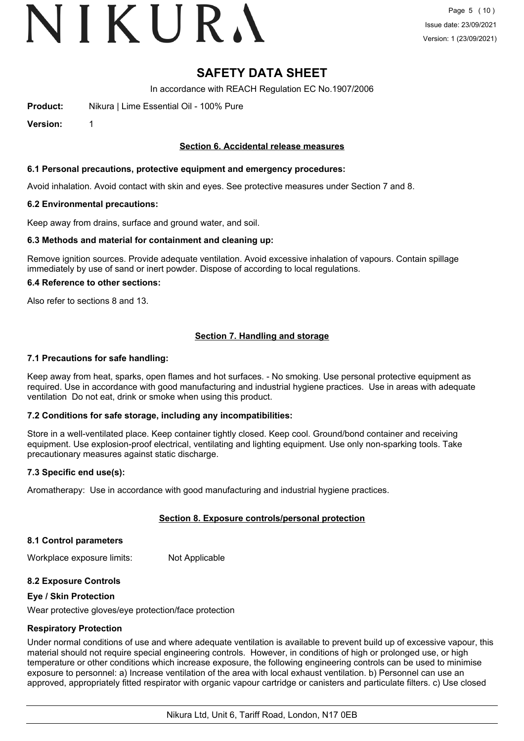# VIKURA

# **SAFETY DATA SHEET**

In accordance with REACH Regulation EC No.1907/2006

**Product:** Nikura | Lime Essential Oil - 100% Pure

**Version:** 1

#### **Section 6. Accidental release measures**

#### **6.1 Personal precautions, protective equipment and emergency procedures:**

Avoid inhalation. Avoid contact with skin and eyes. See protective measures under Section 7 and 8.

#### **6.2 Environmental precautions:**

Keep away from drains, surface and ground water, and soil.

#### **6.3 Methods and material for containment and cleaning up:**

Remove ignition sources. Provide adequate ventilation. Avoid excessive inhalation of vapours. Contain spillage immediately by use of sand or inert powder. Dispose of according to local regulations.

#### **6.4 Reference to other sections:**

Also refer to sections 8 and 13.

# **Section 7. Handling and storage**

#### **7.1 Precautions for safe handling:**

Keep away from heat, sparks, open flames and hot surfaces. - No smoking. Use personal protective equipment as required. Use in accordance with good manufacturing and industrial hygiene practices. Use in areas with adequate ventilation Do not eat, drink or smoke when using this product.

## **7.2 Conditions for safe storage, including any incompatibilities:**

Store in a well-ventilated place. Keep container tightly closed. Keep cool. Ground/bond container and receiving equipment. Use explosion-proof electrical, ventilating and lighting equipment. Use only non-sparking tools. Take precautionary measures against static discharge.

#### **7.3 Specific end use(s):**

Aromatherapy: Use in accordance with good manufacturing and industrial hygiene practices.

## **Section 8. Exposure controls/personal protection**

#### **8.1 Control parameters**

Workplace exposure limits: Not Applicable

## **8.2 Exposure Controls**

#### **Eye / Skin Protection**

Wear protective gloves/eye protection/face protection

#### **Respiratory Protection**

Under normal conditions of use and where adequate ventilation is available to prevent build up of excessive vapour, this material should not require special engineering controls. However, in conditions of high or prolonged use, or high temperature or other conditions which increase exposure, the following engineering controls can be used to minimise exposure to personnel: a) Increase ventilation of the area with local exhaust ventilation. b) Personnel can use an approved, appropriately fitted respirator with organic vapour cartridge or canisters and particulate filters. c) Use closed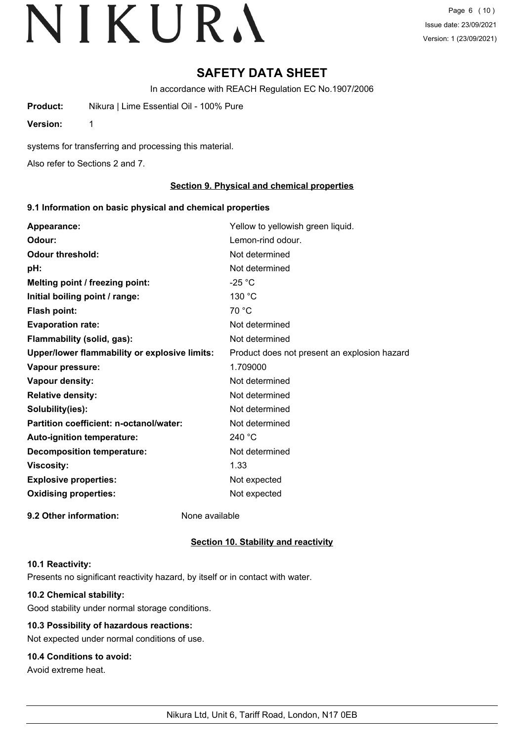# **SAFETY DATA SHEET**

In accordance with REACH Regulation EC No.1907/2006

**Product:** Nikura | Lime Essential Oil - 100% Pure

**Version:** 1

systems for transferring and processing this material.

Also refer to Sections 2 and 7.

# **Section 9. Physical and chemical properties**

## **9.1 Information on basic physical and chemical properties**

| Appearance:                                   | Yellow to yellowish green liquid.            |
|-----------------------------------------------|----------------------------------------------|
| Odour:                                        | Lemon-rind odour.                            |
| <b>Odour threshold:</b>                       | Not determined                               |
| pH:                                           | Not determined                               |
| Melting point / freezing point:               | $-25 °C$                                     |
| Initial boiling point / range:                | 130 °C                                       |
| Flash point:                                  | 70 °C                                        |
| <b>Evaporation rate:</b>                      | Not determined                               |
| Flammability (solid, gas):                    | Not determined                               |
| Upper/lower flammability or explosive limits: | Product does not present an explosion hazard |
| Vapour pressure:                              | 1.709000                                     |
| Vapour density:                               | Not determined                               |
| <b>Relative density:</b>                      | Not determined                               |
| Solubility(ies):                              | Not determined                               |
| Partition coefficient: n-octanol/water:       | Not determined                               |
| Auto-ignition temperature:                    | 240 °C                                       |
| <b>Decomposition temperature:</b>             | Not determined                               |
| <b>Viscosity:</b>                             | 1.33                                         |
| <b>Explosive properties:</b>                  | Not expected                                 |
| <b>Oxidising properties:</b>                  | Not expected                                 |
| 9.2 Other information:                        | None available                               |

# **Section 10. Stability and reactivity**

## **10.1 Reactivity:**

Presents no significant reactivity hazard, by itself or in contact with water.

# **10.2 Chemical stability:**

Good stability under normal storage conditions.

# **10.3 Possibility of hazardous reactions:**

Not expected under normal conditions of use.

# **10.4 Conditions to avoid:**

Avoid extreme heat.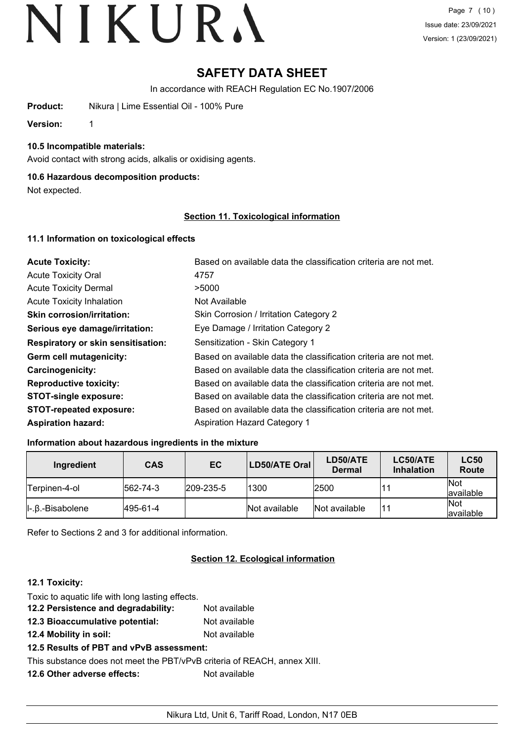# **SAFETY DATA SHEET**

In accordance with REACH Regulation EC No.1907/2006

**Product:** Nikura | Lime Essential Oil - 100% Pure

**Version:** 1

**10.5 Incompatible materials:**

Avoid contact with strong acids, alkalis or oxidising agents.

# **10.6 Hazardous decomposition products:**

Not expected.

# **Section 11. Toxicological information**

# **11.1 Information on toxicological effects**

| <b>Acute Toxicity:</b>                    | Based on available data the classification criteria are not met. |
|-------------------------------------------|------------------------------------------------------------------|
| <b>Acute Toxicity Oral</b>                | 4757                                                             |
| <b>Acute Toxicity Dermal</b>              | >5000                                                            |
| <b>Acute Toxicity Inhalation</b>          | Not Available                                                    |
| <b>Skin corrosion/irritation:</b>         | Skin Corrosion / Irritation Category 2                           |
| Serious eye damage/irritation:            | Eye Damage / Irritation Category 2                               |
| <b>Respiratory or skin sensitisation:</b> | Sensitization - Skin Category 1                                  |
| Germ cell mutagenicity:                   | Based on available data the classification criteria are not met. |
| <b>Carcinogenicity:</b>                   | Based on available data the classification criteria are not met. |
| <b>Reproductive toxicity:</b>             | Based on available data the classification criteria are not met. |
| <b>STOT-single exposure:</b>              | Based on available data the classification criteria are not met. |
| <b>STOT-repeated exposure:</b>            | Based on available data the classification criteria are not met. |
| <b>Aspiration hazard:</b>                 | <b>Aspiration Hazard Category 1</b>                              |

## **Information about hazardous ingredients in the mixture**

| Ingredient                          | <b>CAS</b>       | EC                | LD50/ATE Oral | LD50/ATE<br><b>Dermal</b> | LC50/ATE<br><b>Inhalation</b> | <b>LC50</b><br>Route      |
|-------------------------------------|------------------|-------------------|---------------|---------------------------|-------------------------------|---------------------------|
| Terpinen-4-ol                       | $ 562 - 74 - 3 $ | $ 209 - 235 - 5 $ | 1300          | 2500                      |                               | <b>Not</b><br>lavailable  |
| $\parallel$ -. $\beta$ .-Bisabolene | 495-61-4         |                   | Not available | Not available             |                               | <b>INot</b><br>lavailable |

Refer to Sections 2 and 3 for additional information.

# **Section 12. Ecological information**

# **12.1 Toxicity:**

| Toxic to aquatic life with long lasting effects.                         |               |
|--------------------------------------------------------------------------|---------------|
| 12.2 Persistence and degradability:                                      | Not available |
| 12.3 Bioaccumulative potential:                                          | Not available |
| 12.4 Mobility in soil:                                                   | Not available |
| 12.5 Results of PBT and vPvB assessment:                                 |               |
| This substance does not meet the PBT/vPvB criteria of REACH, annex XIII. |               |
| 12.6 Other adverse effects:                                              | Not available |
|                                                                          |               |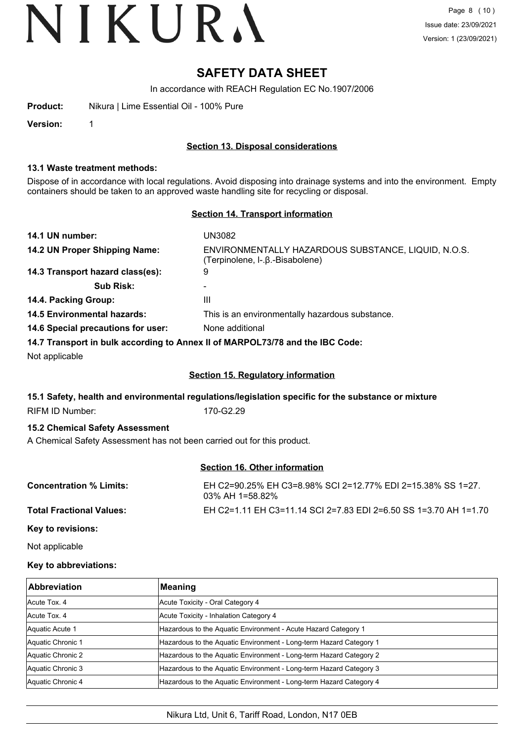# **SAFETY DATA SHEET**

In accordance with REACH Regulation EC No.1907/2006

**Product:** Nikura | Lime Essential Oil - 100% Pure

**Version:** 1

## **Section 13. Disposal considerations**

#### **13.1 Waste treatment methods:**

Dispose of in accordance with local regulations. Avoid disposing into drainage systems and into the environment. Empty containers should be taken to an approved waste handling site for recycling or disposal.

## **Section 14. Transport information**

| 14.1 UN number:                    | UN3082                                                                                 |
|------------------------------------|----------------------------------------------------------------------------------------|
| 14.2 UN Proper Shipping Name:      | ENVIRONMENTALLY HAZARDOUS SUBSTANCE, LIQUID, N.O.S.<br>(Terpinolene, I-.β.-Bisabolene) |
| 14.3 Transport hazard class(es):   | 9                                                                                      |
| <b>Sub Risk:</b>                   | ۰                                                                                      |
| 14.4. Packing Group:               | Ш                                                                                      |
| <b>14.5 Environmental hazards:</b> | This is an environmentally hazardous substance.                                        |
| 14.6 Special precautions for user: | None additional                                                                        |
|                                    |                                                                                        |

**14.7 Transport in bulk according to Annex II of MARPOL73/78 and the IBC Code:**

Not applicable

# **Section 15. Regulatory information**

## **15.1 Safety, health and environmental regulations/legislation specific for the substance or mixture**

RIFM ID Number: 170-G2.29

## **15.2 Chemical Safety Assessment**

A Chemical Safety Assessment has not been carried out for this product.

# **Section 16. Other information**

| <b>Concentration % Limits:</b>  | EH C2=90.25% EH C3=8.98% SCI 2=12.77% EDI 2=15.38% SS 1=27.<br>$03\%$ AH 1=58.82% |
|---------------------------------|-----------------------------------------------------------------------------------|
| <b>Total Fractional Values:</b> | EH C2=1.11 EH C3=11.14 SCI 2=7.83 EDI 2=6.50 SS 1=3.70 AH 1=1.70                  |
| Key to revisions:               |                                                                                   |

Not applicable

## **Key to abbreviations:**

| <b>Abbreviation</b> | Meaning                                                            |
|---------------------|--------------------------------------------------------------------|
| Acute Tox, 4        | Acute Toxicity - Oral Category 4                                   |
| Acute Tox, 4        | Acute Toxicity - Inhalation Category 4                             |
| Aquatic Acute 1     | Hazardous to the Aquatic Environment - Acute Hazard Category 1     |
| Aquatic Chronic 1   | Hazardous to the Aquatic Environment - Long-term Hazard Category 1 |
| Aquatic Chronic 2   | Hazardous to the Aquatic Environment - Long-term Hazard Category 2 |
| Aquatic Chronic 3   | Hazardous to the Aquatic Environment - Long-term Hazard Category 3 |
| Aquatic Chronic 4   | Hazardous to the Aquatic Environment - Long-term Hazard Category 4 |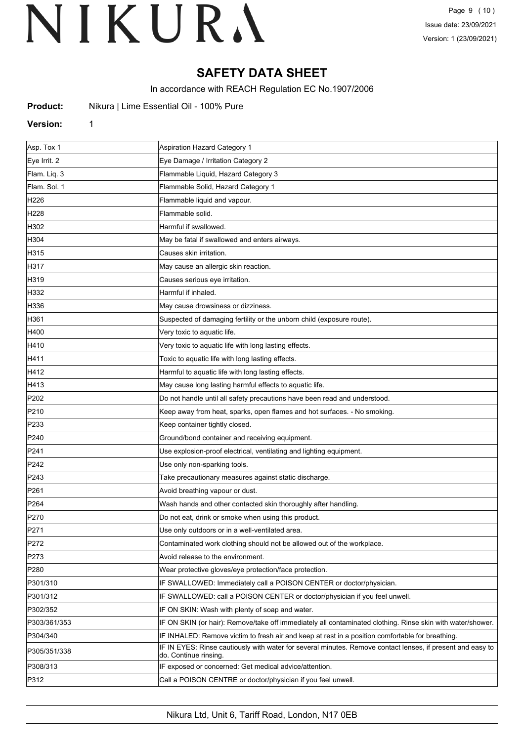# **SAFETY DATA SHEET**

In accordance with REACH Regulation EC No.1907/2006

| Product: |  |  | Nikura   Lime Essential Oil - 100% Pure |  |  |  |
|----------|--|--|-----------------------------------------|--|--|--|
|----------|--|--|-----------------------------------------|--|--|--|

#### **Version:** 1

| Asp. Tox 1       | Aspiration Hazard Category 1                                                                                                        |
|------------------|-------------------------------------------------------------------------------------------------------------------------------------|
| Eye Irrit. 2     | Eye Damage / Irritation Category 2                                                                                                  |
| Flam. Liq. 3     | Flammable Liquid, Hazard Category 3                                                                                                 |
| Flam. Sol. 1     | Flammable Solid, Hazard Category 1                                                                                                  |
| H226             | Flammable liquid and vapour.                                                                                                        |
| H228             | Flammable solid.                                                                                                                    |
| H302             | Harmful if swallowed.                                                                                                               |
| H304             | May be fatal if swallowed and enters airways.                                                                                       |
| H315             | Causes skin irritation.                                                                                                             |
| H317             | May cause an allergic skin reaction.                                                                                                |
| H319             | Causes serious eye irritation.                                                                                                      |
| H332             | Harmful if inhaled.                                                                                                                 |
| H336             | May cause drowsiness or dizziness.                                                                                                  |
| H361             | Suspected of damaging fertility or the unborn child (exposure route).                                                               |
| H400             | Very toxic to aquatic life.                                                                                                         |
| H410             | Very toxic to aquatic life with long lasting effects.                                                                               |
| H411             | Toxic to aquatic life with long lasting effects.                                                                                    |
| H412             | Harmful to aquatic life with long lasting effects.                                                                                  |
| H413             | May cause long lasting harmful effects to aquatic life.                                                                             |
| P202             | Do not handle until all safety precautions have been read and understood.                                                           |
| P210             | Keep away from heat, sparks, open flames and hot surfaces. - No smoking.                                                            |
| P233             | Keep container tightly closed.                                                                                                      |
| P240             | Ground/bond container and receiving equipment.                                                                                      |
| P241             | Use explosion-proof electrical, ventilating and lighting equipment.                                                                 |
| P242             | Use only non-sparking tools.                                                                                                        |
| P243             | Take precautionary measures against static discharge.                                                                               |
| P261             | Avoid breathing vapour or dust.                                                                                                     |
| P <sub>264</sub> | Wash hands and other contacted skin thoroughly after handling.                                                                      |
| P270             | Do not eat, drink or smoke when using this product.                                                                                 |
| P271             | Use only outdoors or in a well-ventilated area.                                                                                     |
| P272             | Contaminated work clothing should not be allowed out of the workplace.                                                              |
| P273             | Avoid release to the environment.                                                                                                   |
| P280             | Wear protective gloves/eye protection/face protection.                                                                              |
| P301/310         | IF SWALLOWED: Immediately call a POISON CENTER or doctor/physician.                                                                 |
| P301/312         | IF SWALLOWED: call a POISON CENTER or doctor/physician if you feel unwell.                                                          |
| P302/352         | IF ON SKIN: Wash with plenty of soap and water.                                                                                     |
| P303/361/353     | IF ON SKIN (or hair): Remove/take off immediately all contaminated clothing. Rinse skin with water/shower.                          |
| P304/340         | IF INHALED: Remove victim to fresh air and keep at rest in a position comfortable for breathing.                                    |
| P305/351/338     | IF IN EYES: Rinse cautiously with water for several minutes. Remove contact lenses, if present and easy to<br>do. Continue rinsing. |
| P308/313         | IF exposed or concerned: Get medical advice/attention.                                                                              |
| P312             | Call a POISON CENTRE or doctor/physician if you feel unwell.                                                                        |